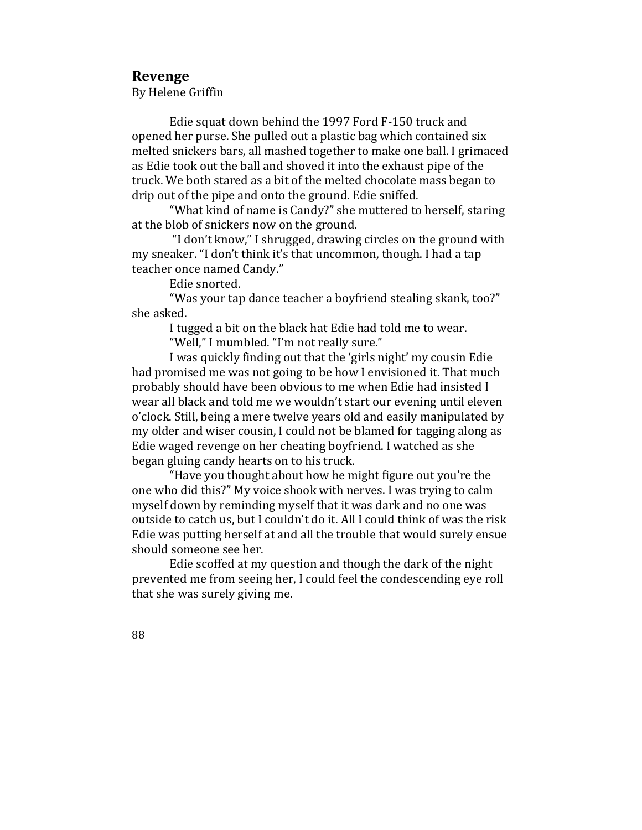## **Revenge**

By Helene Griffin

Edie squat down behind the 1997 Ford F-150 truck and opened her purse. She pulled out a plastic bag which contained six melted snickers bars, all mashed together to make one ball. I grimaced as Edie took out the ball and shoved it into the exhaust pipe of the truck. We both stared as a bit of the melted chocolate mass began to drip out of the pipe and onto the ground. Edie sniffed.

"What kind of name is Candy?" she muttered to herself, staring at the blob of snickers now on the ground.

"I don't know," I shrugged, drawing circles on the ground with my sneaker. "I don't think it's that uncommon, though. I had a tap teacher once named Candy."

Edie snorted.

"Was your tap dance teacher a boyfriend stealing skank, too?" she asked.

I tugged a bit on the black hat Edie had told me to wear.

"Well," I mumbled. "I'm not really sure."

I was quickly finding out that the 'girls night' my cousin Edie had promised me was not going to be how I envisioned it. That much probably should have been obvious to me when Edie had insisted I wear all black and told me we wouldn't start our evening until eleven o'clock. Still, being a mere twelve years old and easily manipulated by my older and wiser cousin, I could not be blamed for tagging along as Edie waged revenge on her cheating boyfriend. I watched as she began gluing candy hearts on to his truck.

"Have you thought about how he might figure out you're the one who did this?" My voice shook with nerves. I was trying to calm myself down by reminding myself that it was dark and no one was outside to catch us, but I couldn't do it. All I could think of was the risk Edie was putting herself at and all the trouble that would surely ensue should someone see her.

Edie scoffed at my question and though the dark of the night prevented me from seeing her, I could feel the condescending eye roll that she was surely giving me.

88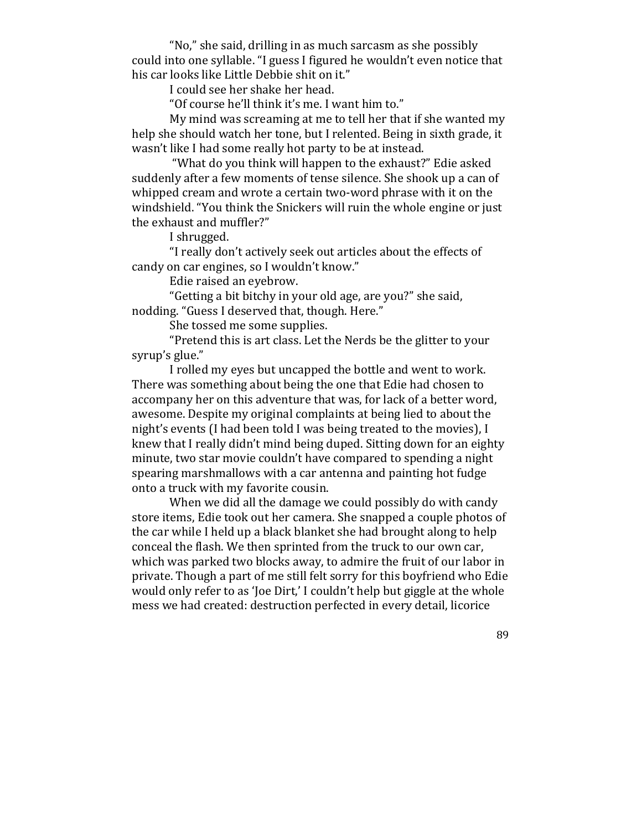"No," she said, drilling in as much sarcasm as she possibly could into one syllable. "I guess I figured he wouldn't even notice that his car looks like Little Debbie shit on it."

I could see her shake her head.

"Of course he'll think it's me. I want him to."

My mind was screaming at me to tell her that if she wanted my help she should watch her tone, but I relented. Being in sixth grade, it wasn't like I had some really hot party to be at instead.

"What do you think will happen to the exhaust?" Edie asked suddenly after a few moments of tense silence. She shook up a can of whipped cream and wrote a certain two-word phrase with it on the windshield. "You think the Snickers will ruin the whole engine or just the exhaust and muffler?"

I shrugged.

"I really don't actively seek out articles about the effects of candy on car engines, so I wouldn't know."

Edie raised an eyebrow.

"Getting a bit bitchy in your old age, are you?" she said, nodding. "Guess I deserved that, though. Here."

She tossed me some supplies.

"Pretend this is art class. Let the Nerds be the glitter to your syrup's glue."

I rolled my eves but uncapped the bottle and went to work. There was something about being the one that Edie had chosen to accompany her on this adventure that was, for lack of a better word, awesome. Despite my original complaints at being lied to about the night's events (I had been told I was being treated to the movies), I knew that I really didn't mind being duped. Sitting down for an eighty minute, two star movie couldn't have compared to spending a night spearing marshmallows with a car antenna and painting hot fudge onto a truck with my favorite cousin.

When we did all the damage we could possibly do with candy store items, Edie took out her camera. She snapped a couple photos of the car while I held up a black blanket she had brought along to help conceal the flash. We then sprinted from the truck to our own car, which was parked two blocks away, to admire the fruit of our labor in private. Though a part of me still felt sorry for this boyfriend who Edie would only refer to as 'Joe Dirt,' I couldn't help but giggle at the whole mess we had created: destruction perfected in every detail, licorice

89